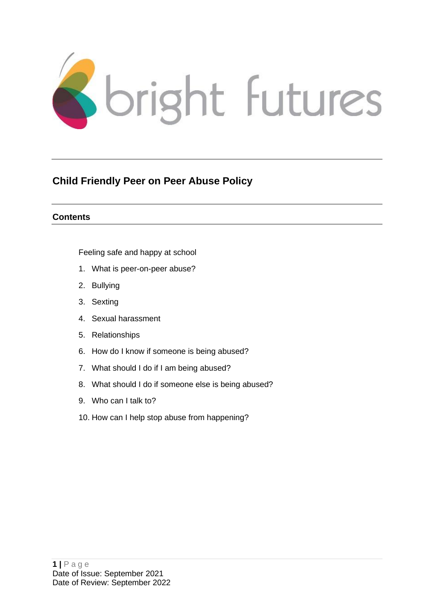

## **Child Friendly Peer on Peer Abuse Policy**

#### **Contents**

[Feeling safe and happy at school](#page-1-0)

- 1. [What is peer-on-peer abuse?](#page-2-0)
- 2. [Bullying](#page-2-1)
- 3. [Sexting](#page-3-0)
- 4. [Sexual harassment](#page-3-1)
- 5. [Relationships](#page-4-0)
- 6. [How do I know if someone is being abused?](#page-5-0)
- 7. [What should I do if I am being abused?](#page-5-1)
- 8. [What should I do if someone else is being abused?](#page-6-0)
- 9. [Who can I talk to?](#page-6-0)
- 10. [How can I help stop abuse from happening?](#page-7-0)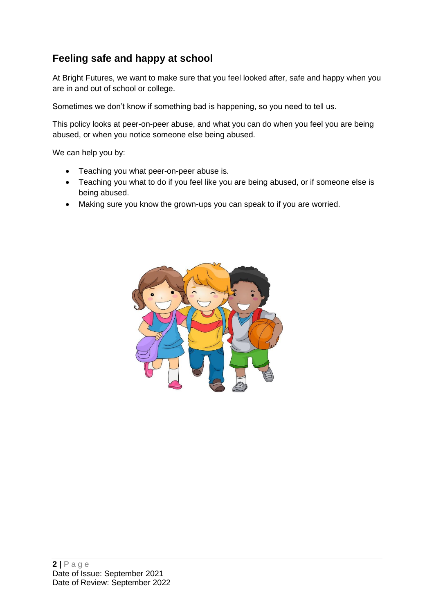## <span id="page-1-0"></span>**Feeling safe and happy at school**

At Bright Futures, we want to make sure that you feel looked after, safe and happy when you are in and out of school or college.

Sometimes we don't know if something bad is happening, so you need to tell us.

This policy looks at peer-on-peer abuse, and what you can do when you feel you are being abused, or when you notice someone else being abused.

We can help you by:

- Teaching you what peer-on-peer abuse is.
- Teaching you what to do if you feel like you are being abused, or if someone else is being abused.
- Making sure you know the grown-ups you can speak to if you are worried.

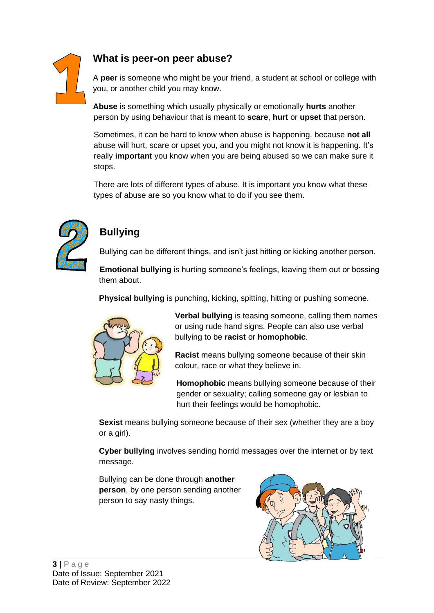

### **What is peer-on peer abuse?**

<span id="page-2-0"></span>A **peer** is someone who might be your friend, a student at school or college with you, or another child you may know.

**Abuse** is something which usually physically or emotionally **hurts** another person by using behaviour that is meant to **scare**, **hurt** or **upset** that person.

Sometimes, it can be hard to know when abuse is happening, because **not all** abuse will hurt, scare or upset you, and you might not know it is happening. It's really **important** you know when you are being abused so we can make sure it stops.

There are lots of different types of abuse. It is important you know what these types of abuse are so you know what to do if you see them.



## <span id="page-2-1"></span>**Bullying**

Bullying can be different things, and isn't just hitting or kicking another person.

**Emotional bullying** is hurting someone's feelings, leaving them out or bossing them about.

**Physical bullying** is punching, kicking, spitting, hitting or pushing someone.



**Verbal bullying** is teasing someone, calling them names or using rude hand signs. People can also use verbal bullying to be **racist** or **homophobic**.

**Racist** means bullying someone because of their skin colour, race or what they believe in.

**Homophobic** means bullying someone because of their gender or sexuality; calling someone gay or lesbian to hurt their feelings would be homophobic.

**Sexist** means bullying someone because of their sex (whether they are a boy or a girl).

**Cyber bullying** involves sending horrid messages over the internet or by text message.

Bullying can be done through **another person**, by one person sending another person to say nasty things.

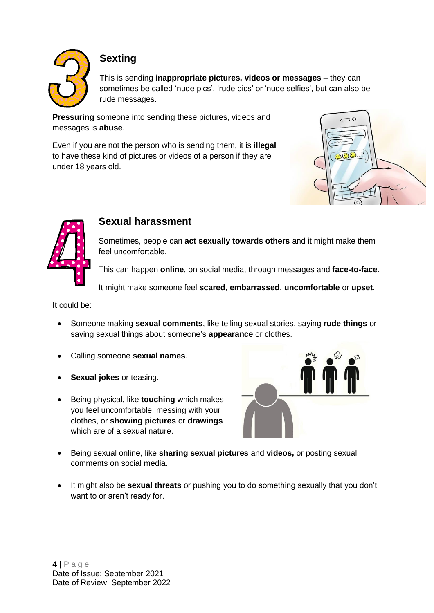

## **Sexting**

<span id="page-3-0"></span>This is sending **inappropriate pictures, videos or messages** – they can sometimes be called 'nude pics', 'rude pics' or 'nude selfies', but can also be rude messages.

**Pressuring** someone into sending these pictures, videos and messages is **abuse**.

Even if you are not the person who is sending them, it is **illegal** to have these kind of pictures or videos of a person if they are under 18 years old.





#### <span id="page-3-1"></span>**Sexual harassment**

Sometimes, people can **act sexually towards others** and it might make them feel uncomfortable.

This can happen **online**, on social media, through messages and **face-to-face**.

It might make someone feel **scared**, **embarrassed**, **uncomfortable** or **upset**.

It could be:

- Someone making **sexual comments**, like telling sexual stories, saying **rude things** or saying sexual things about someone's **appearance** or clothes.
- Calling someone **sexual names**.
- **Sexual jokes** or teasing.
- Being physical, like **touching** which makes you feel uncomfortable, messing with your clothes, or **showing pictures** or **drawings** which are of a sexual nature.



- Being sexual online, like **sharing sexual pictures** and **videos,** or posting sexual comments on social media.
- It might also be **sexual threats** or pushing you to do something sexually that you don't want to or aren't ready for.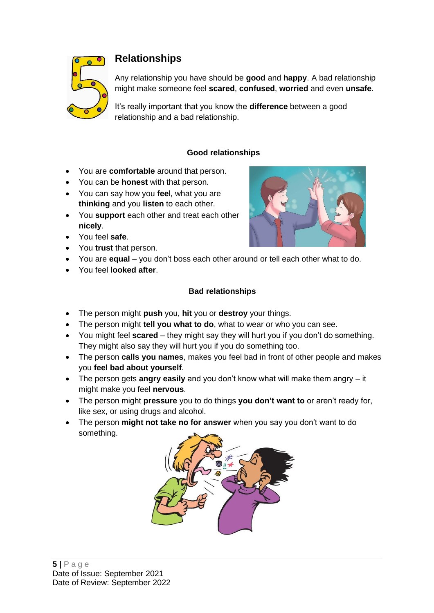

## **Relationships**

<span id="page-4-0"></span>Any relationship you have should be **good** and **happy**. A bad relationship might make someone feel **scared**, **confused**, **worried** and even **unsafe**.

It's really important that you know the **difference** between a good relationship and a bad relationship.

#### **Good relationships**

- You are **comfortable** around that person.
- You can be **honest** with that person.
- You can say how you **fee**l, what you are **thinking** and you **listen** to each other.
- You **support** each other and treat each other **nicely**.
- You feel **safe**.
- You **trust** that person.
- You are **equal** you don't boss each other around or tell each other what to do.
- You feel **looked after**.

#### **Bad relationships**

- The person might **push** you, **hit** you or **destroy** your things.
- The person might **tell you what to do**, what to wear or who you can see.
- You might feel **scared** they might say they will hurt you if you don't do something. They might also say they will hurt you if you do something too.
- The person **calls you names**, makes you feel bad in front of other people and makes you **feel bad about yourself**.
- The person gets **angry easily** and you don't know what will make them angry it might make you feel **nervous**.
- The person might **pressure** you to do things **you don't want to** or aren't ready for, like sex, or using drugs and alcohol.
- The person **might not take no for answer** when you say you don't want to do something.



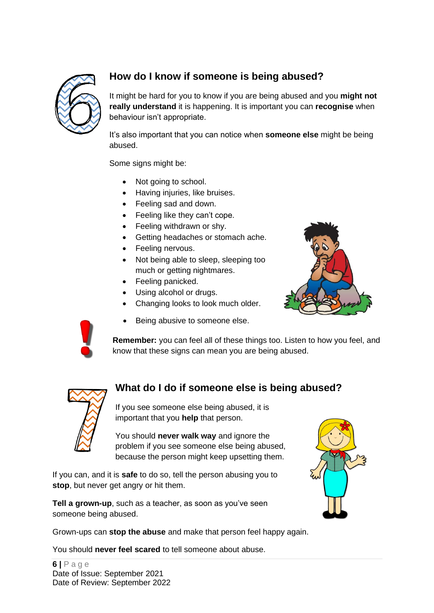

## **How do I know if someone is being abused?**

<span id="page-5-0"></span>It might be hard for you to know if you are being abused and you **might not really understand** it is happening. It is important you can **recognise** when behaviour isn't appropriate.

It's also important that you can notice when **someone else** might be being abused.

Some signs might be:

- Not going to school.
- Having injuries, like bruises.
- Feeling sad and down.
- Feeling like they can't cope.
- Feeling withdrawn or shy.
- Getting headaches or stomach ache.
- Feeling nervous.
- Not being able to sleep, sleeping too much or getting nightmares.
- Feeling panicked.
- Using alcohol or drugs.
- Changing looks to look much older.
- Being abusive to someone else.





**Remember:** you can feel all of these things too. Listen to how you feel, and know that these signs can mean you are being abused.



## **What do I do if someone else is being abused?**

<span id="page-5-1"></span>If you see someone else being abused, it is important that you **help** that person.

You should **never walk way** and ignore the problem if you see someone else being abused, because the person might keep upsetting them.

If you can, and it is **safe** to do so, tell the person abusing you to **stop**, but never get angry or hit them.

**Tell a grown-up**, such as a teacher, as soon as you've seen someone being abused.

Grown-ups can **stop the abuse** and make that person feel happy again.

You should **never feel scared** to tell someone about abuse.

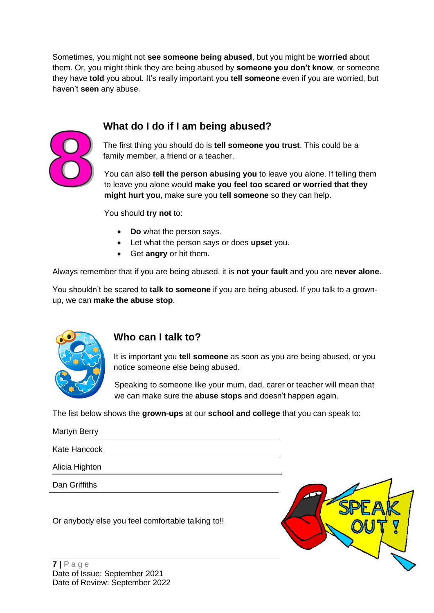Sometimes, you might not **see someone being abused**, but you might be **worried** about them. Or, you might think they are being abused by **someone you don't know**, or someone they have **told** you about. It's really important you **tell someone** even if you are worried, but haven't **seen** any abuse.

## **What do I do if I am being abused?**



The first thing you should do is **tell someone you trust**. This could be a family member, a friend or a teacher.

You can also **tell the person abusing you** to leave you alone. If telling them to leave you alone would **make you feel too scared or worried that they might hurt you**, make sure you **tell someone** so they can help.

You should **try not** to:

- **Do** what the person says.
- Let what the person says or does **upset** you.
- Get **angry** or hit them.

Always remember that if you are being abused, it is **not your fault** and you are **never alone**.

You shouldn't be scared to **talk to someone** if you are being abused. If you talk to a grownup, we can **make the abuse stop**.



#### <span id="page-6-0"></span>**Who can I talk to?**

It is important you **tell someone** as soon as you are being abused, or you notice someone else being abused.

Speaking to someone like your mum, dad, carer or teacher will mean that we can make sure the **abuse stops** and doesn't happen again.

The list below shows the **grown-ups** at our **school and college** that you can speak to:

Martyn Berry Kate Hancock Alicia Highton Dan Griffiths

Or anybody else you feel comfortable talking to!!